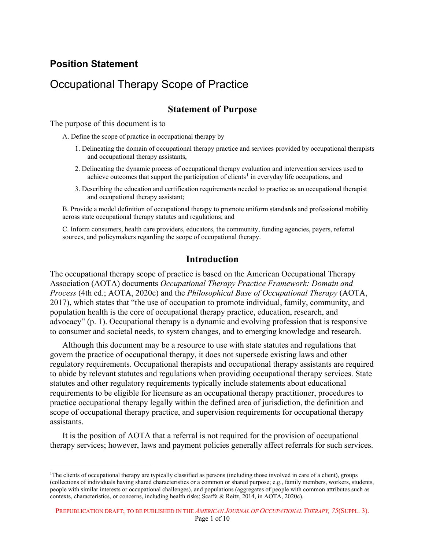## **Position Statement**

## Occupational Therapy Scope of Practice

## **Statement of Purpose**

The purpose of this document is to

A. Define the scope of practice in occupational therapy by

- 1. Delineating the domain of occupational therapy practice and services provided by occup and occupational therapy assistants,
- 2. Delineating the dynamic process of occupational therapy evaluation and intervention services used to achieve outcomes that support the participation of clients<sup>1</sup> in everyday life  $\alpha$  upations, and
- 3. Describing the education and certification requirements needed to practice as an  $\alpha$  ational therapist and occupational therapy assistant;

B. Provide a model definition of occupational therapy to promote uniform tandards and professional mobility across state occupational therapy statutes and regulations; and

C. Inform consumers, health care providers, educators, the community,  $\hat{\mathbf{u}}_k$  ing agencies, payers, referral sources, and policymakers regarding the scope of occupational

## **Introduction**

The occupational therapy scope of practice is  $\left| \text{as } \epsilon \right|$  as the American Occupational Therapy Association (AOTA) documents *Occupational Therapy Practice Framework: Domain and Process* (4th ed.; AOTA, 2020c) and the *Philosophical Base of Occupational Therapy* (AOTA, 2017), which states that "the use of  $\lll$  tion to promote individual, family, community, and population health is the core of occupational therapy practice, education, research, and advocacy" (p. 1). Occupational therapy is a dynamic and evolving profession that is responsive to consumer and societal  $\mathbf{h}$  as, to vstem changes, and to emerging knowledge and research.

Although this document may be a resource to use with state statutes and regulations that govern the practice of occupational therapy, it does not supersede existing laws and other regulatory requirement. Occupational therapists and occupational therapy assistants are required to abide by relevant settutes and regulations when providing occupational therapy services. State statutes and other regulatory requirements typically include statements about educational requirements be engible for licensure as an occupational therapy practitioner, procedures to practice occupational therapy legally within the defined area of jurisdiction, the definition and tional therapy practice, and supervision requirements for occupational therapy a sista ts. The purpose of this document is to<br>
A. Define this stop of president is to<br>
A. Define this stop of president is to<br>
A. Define the stop of president is to<br>
1. Including the derivative president is derivated by development o

It is the position of AOTA that a referral is not required for the provision of occupational therapy services; however, laws and payment policies generally affect referrals for such services.

<span id="page-0-0"></span><sup>1</sup>The clients of occupational therapy are typically classified as persons (including those involved in care of a client), groups (collections of individuals having shared characteristics or a common or shared purpose; e.g., family members, workers, students, people with similar interests or occupational challenges), and populations (aggregates of people with common attributes such as contexts, characteristics, or concerns, including health risks; Scaffa & Reitz, 2014, in AOTA, 2020c).